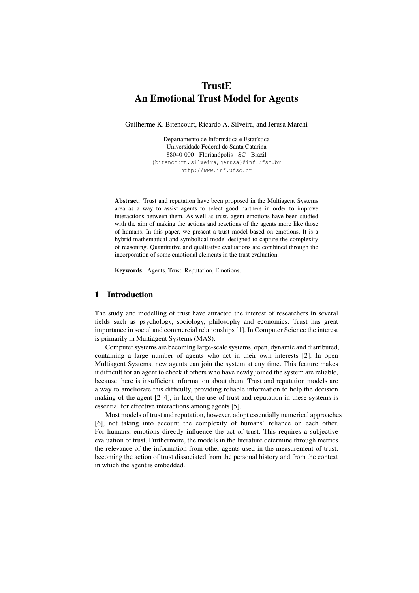# **TrustE** An Emotional Trust Model for Agents

Guilherme K. Bitencourt, Ricardo A. Silveira, and Jerusa Marchi

Departamento de Informática e Estatística Universidade Federal de Santa Catarina 88040-000 - Florianópolis - SC - Brazil {bitencourt,silveira,jerusa}@inf.ufsc.br http://www.inf.ufsc.br

Abstract. Trust and reputation have been proposed in the Multiagent Systems area as a way to assist agents to select good partners in order to improve interactions between them. As well as trust, agent emotions have been studied with the aim of making the actions and reactions of the agents more like those of humans. In this paper, we present a trust model based on emotions. It is a hybrid mathematical and symbolical model designed to capture the complexity of reasoning. Quantitative and qualitative evaluations are combined through the incorporation of some emotional elements in the trust evaluation.

Keywords: Agents, Trust, Reputation, Emotions.

## 1 Introduction

The study and modelling of trust have attracted the interest of researchers in several fields such as psychology, sociology, philosophy and economics. Trust has great importance in social and commercial relationships [1]. In Computer Science the interest is primarily in Multiagent Systems (MAS).

Computer systems are becoming large-scale systems, open, dynamic and distributed, containing a large number of agents who act in their own interests [2]. In open Multiagent Systems, new agents can join the system at any time. This feature makes it difficult for an agent to check if others who have newly joined the system are reliable, because there is insufficient information about them. Trust and reputation models are a way to ameliorate this difficulty, providing reliable information to help the decision making of the agent [2–4], in fact, the use of trust and reputation in these systems is essential for effective interactions among agents [5].

Most models of trust and reputation, however, adopt essentially numerical approaches [6], not taking into account the complexity of humans' reliance on each other. For humans, emotions directly influence the act of trust. This requires a subjective evaluation of trust. Furthermore, the models in the literature determine through metrics the relevance of the information from other agents used in the measurement of trust, becoming the action of trust dissociated from the personal history and from the context in which the agent is embedded.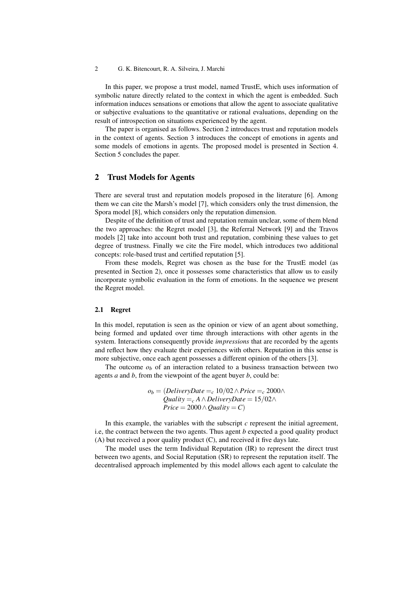In this paper, we propose a trust model, named TrustE, which uses information of symbolic nature directly related to the context in which the agent is embedded. Such information induces sensations or emotions that allow the agent to associate qualitative or subjective evaluations to the quantitative or rational evaluations, depending on the result of introspection on situations experienced by the agent.

The paper is organised as follows. Section 2 introduces trust and reputation models in the context of agents. Section 3 introduces the concept of emotions in agents and some models of emotions in agents. The proposed model is presented in Section 4. Section 5 concludes the paper.

## 2 Trust Models for Agents

There are several trust and reputation models proposed in the literature [6]. Among them we can cite the Marsh's model [7], which considers only the trust dimension, the Spora model [8], which considers only the reputation dimension.

Despite of the definition of trust and reputation remain unclear, some of them blend the two approaches: the Regret model [3], the Referral Network [9] and the Travos models [2] take into account both trust and reputation, combining these values to get degree of trustness. Finally we cite the Fire model, which introduces two additional concepts: role-based trust and certified reputation [5].

From these models, Regret was chosen as the base for the TrustE model (as presented in Section 2), once it possesses some characteristics that allow us to easily incorporate symbolic evaluation in the form of emotions. In the sequence we present the Regret model.

#### 2.1 Regret

In this model, reputation is seen as the opinion or view of an agent about something, being formed and updated over time through interactions with other agents in the system. Interactions consequently provide *impressions* that are recorded by the agents and reflect how they evaluate their experiences with others. Reputation in this sense is more subjective, once each agent possesses a different opinion of the others [3].

The outcome  $o<sub>b</sub>$  of an interaction related to a business transaction between two agents *a* and *b*, from the viewpoint of the agent buyer *b*, could be:

$$
o_b = (DeliveryDate =_c 10/02 \land Price =_c 2000 \land
$$
  
Quality =\_c A \land DeliveryDate = 15/02 \land  
Price = 2000 \land Quality = C)

In this example, the variables with the subscript *c* represent the initial agreement, i.e, the contract between the two agents. Thus agent *b* expected a good quality product (A) but received a poor quality product (C), and received it five days late.

The model uses the term Individual Reputation (IR) to represent the direct trust between two agents, and Social Reputation (SR) to represent the reputation itself. The decentralised approach implemented by this model allows each agent to calculate the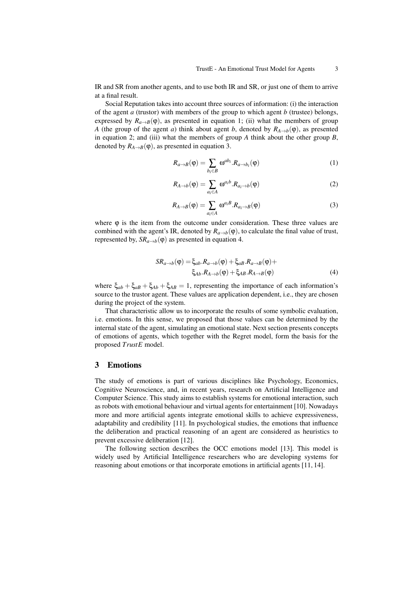IR and SR from another agents, and to use both IR and SR, or just one of them to arrive at a final result.

Social Reputation takes into account three sources of information: (i) the interaction of the agent *a* (trustor) with members of the group to which agent *b* (trustee) belongs, expressed by  $R_{a\to B}(\varphi)$ , as presented in equation 1; (ii) what the members of group *A* (the group of the agent *a*) think about agent *b*, denoted by  $R_{A\rightarrow b}(\varphi)$ , as presented in equation 2; and (iii) what the members of group *A* think about the other group *B*, denoted by  $R_{A\rightarrow B}(\varphi)$ , as presented in equation 3.

$$
R_{a \to B}(\varphi) = \sum_{b_i \in B} \omega^{ab_i} . R_{a \to b_i}(\varphi)
$$
 (1)

$$
R_{A\to b}(\varphi) = \sum_{a_i \in A} \omega^{a_i b} . R_{a_i \to b}(\varphi)
$$
 (2)

$$
R_{A\to B}(\varphi) = \sum_{a_i \in A} \omega^{a_i B} . R_{a_i \to B}(\varphi)
$$
 (3)

where φ is the item from the outcome under consideration. These three values are combined with the agent's IR, denoted by  $R_{a\rightarrow b}(\varphi)$ , to calculate the final value of trust, represented by,  $SR_{a\rightarrow b}(\varphi)$  as presented in equation 4.

$$
SR_{a\to b}(\varphi) = \xi_{ab}.R_{a\to b}(\varphi) + \xi_{aB}.R_{a\to B}(\varphi) + \n\xi_{Ab}.R_{A\to b}(\varphi) + \xi_{AB}.R_{A\to B}(\varphi)
$$
\n(4)

where  $\xi_{ab} + \xi_{ab} + \xi_{Ab} + \xi_{AB} = 1$ , representing the importance of each information's source to the trustor agent. These values are application dependent, i.e., they are chosen during the project of the system.

That characteristic allow us to incorporate the results of some symbolic evaluation, i.e. emotions. In this sense, we proposed that those values can be determined by the internal state of the agent, simulating an emotional state. Next section presents concepts of emotions of agents, which together with the Regret model, form the basis for the proposed *TrustE* model.

### 3 Emotions

The study of emotions is part of various disciplines like Psychology, Economics, Cognitive Neuroscience, and, in recent years, research on Artificial Intelligence and Computer Science. This study aims to establish systems for emotional interaction, such as robots with emotional behaviour and virtual agents for entertainment [10]. Nowadays more and more artificial agents integrate emotional skills to achieve expressiveness, adaptability and credibility [11]. In psychological studies, the emotions that influence the deliberation and practical reasoning of an agent are considered as heuristics to prevent excessive deliberation [12].

The following section describes the OCC emotions model [13]. This model is widely used by Artificial Intelligence researchers who are developing systems for reasoning about emotions or that incorporate emotions in artificial agents [11, 14].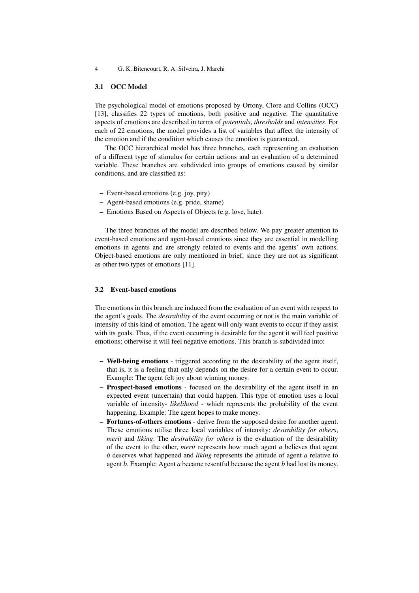### 3.1 OCC Model

The psychological model of emotions proposed by Ortony, Clore and Collins (OCC) [13], classifies 22 types of emotions, both positive and negative. The quantitative aspects of emotions are described in terms of *potentials*, *thresholds* and *intensities*. For each of 22 emotions, the model provides a list of variables that affect the intensity of the emotion and if the condition which causes the emotion is guaranteed.

The OCC hierarchical model has three branches, each representing an evaluation of a different type of stimulus for certain actions and an evaluation of a determined variable. These branches are subdivided into groups of emotions caused by similar conditions, and are classified as:

- Event-based emotions (e.g. joy, pity)
- Agent-based emotions (e.g. pride, shame)
- Emotions Based on Aspects of Objects (e.g. love, hate).

The three branches of the model are described below. We pay greater attention to event-based emotions and agent-based emotions since they are essential in modelling emotions in agents and are strongly related to events and the agents' own actions. Object-based emotions are only mentioned in brief, since they are not as significant as other two types of emotions [11].

#### 3.2 Event-based emotions

The emotions in this branch are induced from the evaluation of an event with respect to the agent's goals. The *desirability* of the event occurring or not is the main variable of intensity of this kind of emotion. The agent will only want events to occur if they assist with its goals. Thus, if the event occurring is desirable for the agent it will feel positive emotions; otherwise it will feel negative emotions. This branch is subdivided into:

- Well-being emotions triggered according to the desirability of the agent itself, that is, it is a feeling that only depends on the desire for a certain event to occur. Example: The agent felt joy about winning money.
- Prospect-based emotions focused on the desirability of the agent itself in an expected event (uncertain) that could happen. This type of emotion uses a local variable of intensity- *likelihood* - which represents the probability of the event happening. Example: The agent hopes to make money.
- Fortunes-of-others emotions derive from the supposed desire for another agent. These emotions utilise three local variables of intensity: *desirability for others*, *merit* and *liking*. The *desirability for others* is the evaluation of the desirability of the event to the other, *merit* represents how much agent *a* believes that agent *b* deserves what happened and *liking* represents the attitude of agent *a* relative to agent *b*. Example: Agent *a* became resentful because the agent *b* had lost its money.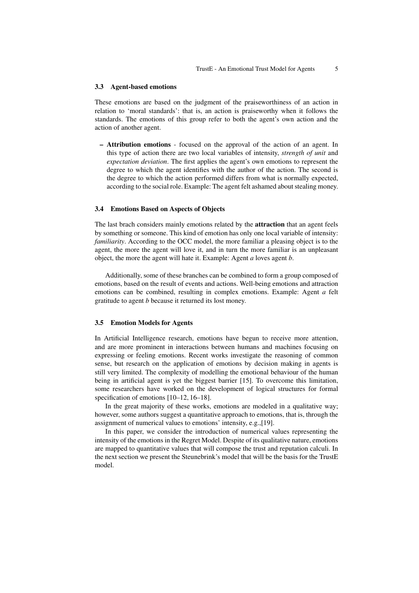#### 3.3 Agent-based emotions

These emotions are based on the judgment of the praiseworthiness of an action in relation to 'moral standards': that is, an action is praiseworthy when it follows the standards. The emotions of this group refer to both the agent's own action and the action of another agent.

– Attribution emotions - focused on the approval of the action of an agent. In this type of action there are two local variables of intensity, *strength of unit* and *expectation deviation*. The first applies the agent's own emotions to represent the degree to which the agent identifies with the author of the action. The second is the degree to which the action performed differs from what is normally expected, according to the social role. Example: The agent felt ashamed about stealing money.

#### 3.4 Emotions Based on Aspects of Objects

The last brach considers mainly emotions related by the **attraction** that an agent feels by something or someone. This kind of emotion has only one local variable of intensity: *familiarity*. According to the OCC model, the more familiar a pleasing object is to the agent, the more the agent will love it, and in turn the more familiar is an unpleasant object, the more the agent will hate it. Example: Agent *a* loves agent *b*.

Additionally, some of these branches can be combined to form a group composed of emotions, based on the result of events and actions. Well-being emotions and attraction emotions can be combined, resulting in complex emotions. Example: Agent *a* felt gratitude to agent *b* because it returned its lost money.

#### 3.5 Emotion Models for Agents

In Artificial Intelligence research, emotions have begun to receive more attention, and are more prominent in interactions between humans and machines focusing on expressing or feeling emotions. Recent works investigate the reasoning of common sense, but research on the application of emotions by decision making in agents is still very limited. The complexity of modelling the emotional behaviour of the human being in artificial agent is yet the biggest barrier [15]. To overcome this limitation, some researchers have worked on the development of logical structures for formal specification of emotions [10–12, 16–18].

In the great majority of these works, emotions are modeled in a qualitative way; however, some authors suggest a quantitative approach to emotions, that is, through the assignment of numerical values to emotions' intensity, e.g.,[19].

In this paper, we consider the introduction of numerical values representing the intensity of the emotions in the Regret Model. Despite of its qualitative nature, emotions are mapped to quantitative values that will compose the trust and reputation calculi. In the next section we present the Steunebrink's model that will be the basis for the TrustE model.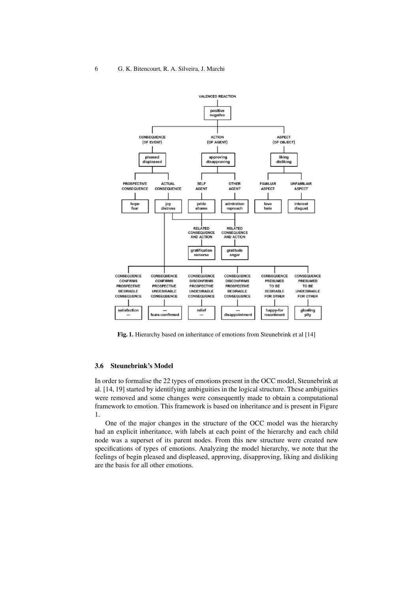

Fig. 1. Hierarchy based on inheritance of emotions from Steunebrink et al [14]

### 3.6 Steunebrink's Model

In order to formalise the 22 types of emotions present in the OCC model, Steunebrink at al. [14, 19] started by identifying ambiguities in the logical structure. These ambiguities were removed and some changes were consequently made to obtain a computational framework to emotion. This framework is based on inheritance and is present in Figure 1.

One of the major changes in the structure of the OCC model was the hierarchy had an explicit inheritance, with labels at each point of the hierarchy and each child node was a superset of its parent nodes. From this new structure were created new specifications of types of emotions. Analyzing the model hierarchy, we note that the feelings of begin pleased and displeased, approving, disapproving, liking and disliking are the basis for all other emotions.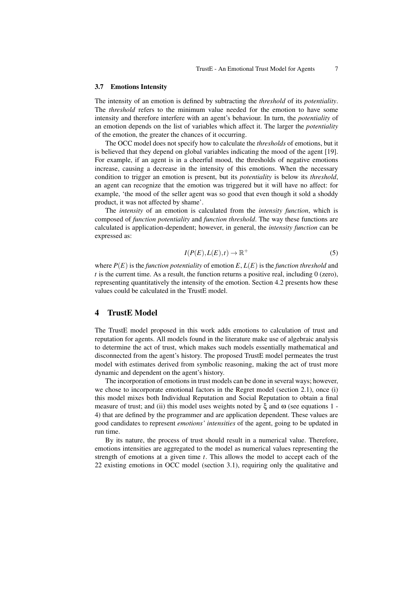#### 3.7 Emotions Intensity

The intensity of an emotion is defined by subtracting the *threshold* of its *potentiality*. The *threshold* refers to the minimum value needed for the emotion to have some intensity and therefore interfere with an agent's behaviour. In turn, the *potentiality* of an emotion depends on the list of variables which affect it. The larger the *potentiality* of the emotion, the greater the chances of it occurring.

The OCC model does not specify how to calculate the *thresholds* of emotions, but it is believed that they depend on global variables indicating the mood of the agent [19]. For example, if an agent is in a cheerful mood, the thresholds of negative emotions increase, causing a decrease in the intensity of this emotions. When the necessary condition to trigger an emotion is present, but its *potentiality* is below its *threshold*, an agent can recognize that the emotion was triggered but it will have no affect: for example, 'the mood of the seller agent was so good that even though it sold a shoddy product, it was not affected by shame'.

The *intensity* of an emotion is calculated from the *intensity function*, which is composed of *function potentiality* and *function threshold*. The way these functions are calculated is application-dependent; however, in general, the *intensity function* can be expressed as:

$$
I(P(E), L(E), t) \to \mathbb{R}^+ \tag{5}
$$

where  $P(E)$  is the *function potentiality* of emotion  $E, L(E)$  is the *function threshold* and  $t$  is the current time. As a result, the function returns a positive real, including  $0$  (zero), representing quantitatively the intensity of the emotion. Section 4.2 presents how these values could be calculated in the TrustE model.

## 4 TrustE Model

The TrustE model proposed in this work adds emotions to calculation of trust and reputation for agents. All models found in the literature make use of algebraic analysis to determine the act of trust, which makes such models essentially mathematical and disconnected from the agent's history. The proposed TrustE model permeates the trust model with estimates derived from symbolic reasoning, making the act of trust more dynamic and dependent on the agent's history.

The incorporation of emotions in trust models can be done in several ways; however, we chose to incorporate emotional factors in the Regret model (section 2.1), once (i) this model mixes both Individual Reputation and Social Reputation to obtain a final measure of trust; and (ii) this model uses weights noted by  $\xi$  and  $\omega$  (see equations 1 -4) that are defined by the programmer and are application dependent. These values are good candidates to represent *emotions' intensities* of the agent, going to be updated in run time.

By its nature, the process of trust should result in a numerical value. Therefore, emotions intensities are aggregated to the model as numerical values representing the strength of emotions at a given time *t*. This allows the model to accept each of the 22 existing emotions in OCC model (section 3.1), requiring only the qualitative and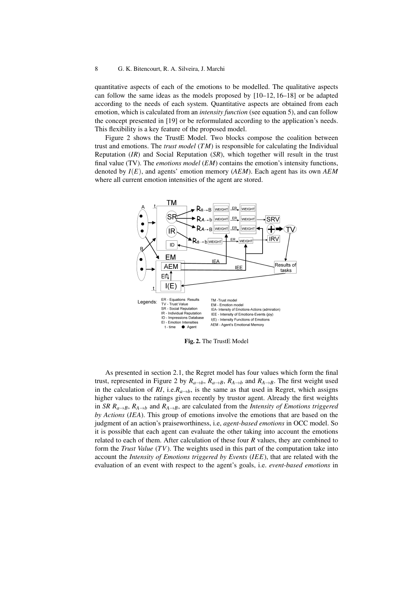quantitative aspects of each of the emotions to be modelled. The qualitative aspects can follow the same ideas as the models proposed by  $[10-12, 16-18]$  or be adapted according to the needs of each system. Quantitative aspects are obtained from each emotion, which is calculated from an *intensity function* (see equation 5), and can follow the concept presented in [19] or be reformulated according to the application's needs. This flexibility is a key feature of the proposed model.

Figure 2 shows the TrustE Model. Two blocks compose the coalition between trust and emotions. The *trust model* (*TM*) is responsible for calculating the Individual Reputation (*IR*) and Social Reputation (*SR*), which together will result in the trust final value (TV). The *emotions model* (*EM*) contains the emotion's intensity functions, denoted by *I*(*E*), and agents' emotion memory (*AEM*). Each agent has its own *AEM* where all current emotion intensities of the agent are stored.



Fig. 2. The TrustE Model

As presented in section 2.1, the Regret model has four values which form the final trust, represented in Figure 2 by  $R_{a\to b}$ ,  $R_{a\to B}$ ,  $R_{A\to b}$  and  $R_{A\to B}$ . The first weight used in the calculation of *RI*, i.e. $R_{a\rightarrow b}$ , is the same as that used in Regret, which assigns higher values to the ratings given recently by trustor agent. Already the first weights in *SR R<sub>a→</sub>B*,  $R_{A\rightarrow B}$  and  $R_{A\rightarrow B}$ , are calculated from the *Intensity of Emotions triggered by Actions* (*IEA*). This group of emotions involve the emotions that are based on the judgment of an action's praiseworthiness, i.e, *agent-based emotions* in OCC model. So it is possible that each agent can evaluate the other taking into account the emotions related to each of them. After calculation of these four *R* values, they are combined to form the *Trust Value* (*TV*). The weights used in this part of the computation take into account the *Intensity of Emotions triggered by Events* (*IEE*), that are related with the evaluation of an event with respect to the agent's goals, i.e. *event-based emotions* in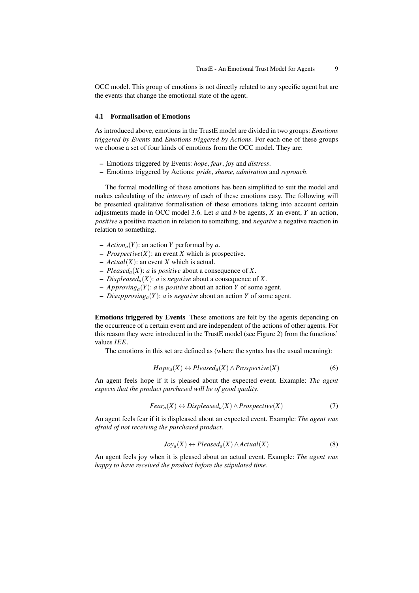OCC model. This group of emotions is not directly related to any specific agent but are the events that change the emotional state of the agent.

#### 4.1 Formalisation of Emotions

As introduced above, emotions in the TrustE model are divided in two groups: *Emotions triggered by Events* and *Emotions triggered by Actions*. For each one of these groups we choose a set of four kinds of emotions from the OCC model. They are:

- Emotions triggered by Events: *hope*, *fear*, *joy* and *distress*.
- Emotions triggered by Actions: *pride*, *shame*, *admiration* and *reproach*.

The formal modelling of these emotions has been simplified to suit the model and makes calculating of the *intensity* of each of these emotions easy. The following will be presented qualitative formalisation of these emotions taking into account certain adjustments made in OCC model 3.6. Let *a* and *b* be agents, *X* an event, *Y* an action, *positive* a positive reaction in relation to something, and *negative* a negative reaction in relation to something.

- $-$  *Action<sub>a</sub>*(*Y*): an action *Y* performed by *a*.
- *Prospective*(*X*): an event *X* which is prospective.
- $-$  *Actual*(*X*): an event *X* which is actual.
- $Pleased_a(X)$ : *a* is *positive* about a consequence of *X*.
- $Displaced_a(X)$ : *a* is *negative* about a consequence of *X*.
- *Approvinga*(*Y*): *a* is *positive* about an action *Y* of some agent.
- *Disapprovinga*(*Y*): *a* is *negative* about an action *Y* of some agent.

Emotions triggered by Events These emotions are felt by the agents depending on the occurrence of a certain event and are independent of the actions of other agents. For this reason they were introduced in the TrustE model (see Figure 2) from the functions' values *IEE*.

The emotions in this set are defined as (where the syntax has the usual meaning):

$$
Hope_a(X) \leftrightarrow Please da(X) \land Prospective(X)
$$
 (6)

An agent feels hope if it is pleased about the expected event. Example: *The agent expects that the product purchased will be of good quality*.

$$
Fear_a(X) \leftrightarrow Displeased_a(X) \land Prospective(X)
$$
 (7)

An agent feels fear if it is displeased about an expected event. Example: *The agent was afraid of not receiving the purchased product*.

$$
Joy_a(X) \leftrightarrow Please da(X) \land Actual(X)
$$
 (8)

An agent feels joy when it is pleased about an actual event. Example: *The agent was happy to have received the product before the stipulated time*.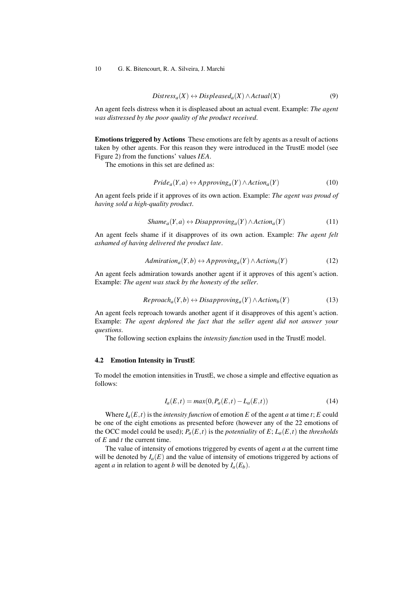$$
Distress_a(X) \leftrightarrow Displeased_a(X) \land Actual(X)
$$
 (9)

An agent feels distress when it is displeased about an actual event. Example: *The agent was distressed by the poor quality of the product received*.

Emotions triggered by Actions These emotions are felt by agents as a result of actions taken by other agents. For this reason they were introduced in the TrustE model (see Figure 2) from the functions' values *IEA*.

The emotions in this set are defined as:

$$
Pride_a(Y, a) \leftrightarrow Approxing_a(Y) \land Action_a(Y)
$$
 (10)

An agent feels pride if it approves of its own action. Example: *The agent was proud of having sold a high-quality product*.

$$
Shame_a(Y, a) \leftrightarrow Disapproxing_a(Y) \land Action_a(Y) \tag{11}
$$

An agent feels shame if it disapproves of its own action. Example: *The agent felt ashamed of having delivered the product late*.

$$
Admitation_{a}(Y,b) \leftrightarrow Approxing_{a}(Y) \wedge Action_{b}(Y)
$$
 (12)

An agent feels admiration towards another agent if it approves of this agent's action. Example: *The agent was stuck by the honesty of the seller*.

$$
Reproach_a(Y, b) \leftrightarrow Disapproving_a(Y) \land Action_b(Y)
$$
 (13)

An agent feels reproach towards another agent if it disapproves of this agent's action. Example: *The agent deplored the fact that the seller agent did not answer your questions*.

The following section explains the *intensity function* used in the TrustE model.

## 4.2 Emotion Intensity in TrustE

To model the emotion intensities in TrustE, we chose a simple and effective equation as follows:

$$
I_a(E,t) = max(0, P_a(E,t) - L_a(E,t))
$$
\n(14)

Where  $I_a(E, t)$  is the *intensity function* of emotion *E* of the agent *a* at time *t*; *E* could be one of the eight emotions as presented before (however any of the 22 emotions of the OCC model could be used);  $P_a(E,t)$  is the *potentiality* of  $E$ ;  $L_a(E,t)$  the *thresholds* of *E* and *t* the current time.

The value of intensity of emotions triggered by events of agent *a* at the current time will be denoted by  $I_a(E)$  and the value of intensity of emotions triggered by actions of agent *a* in relation to agent *b* will be denoted by  $I_a(E_b)$ .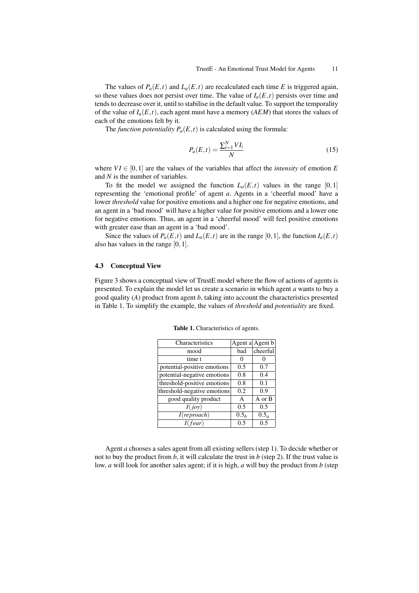The values of  $P_a(E,t)$  and  $L_a(E,t)$  are recalculated each time *E* is triggered again, so these values does not persist over time. The value of  $I_a(E,t)$  persists over time and tends to decrease over it, until to stabilise in the default value. To support the temporality of the value of  $I_a(E,t)$ , each agent must have a memory (*AEM*) that stores the values of each of the emotions felt by it.

The *function potentiality*  $P_a(E,t)$  is calculated using the formula:

$$
P_a(E,t) = \frac{\sum_{i=1}^{N} VI_i}{N}
$$
\n(15)

where  $VI \in [0, 1]$  are the values of the variables that affect the *intensity* of emotion E and *N* is the number of variables.

To fit the model we assigned the function  $L_a(E,t)$  values in the range [0,1] representing the 'emotional profile' of agent *a*. Agents in a 'cheerful mood' have a lower *threshold* value for positive emotions and a higher one for negative emotions, and an agent in a 'bad mood' will have a higher value for positive emotions and a lower one for negative emotions. Thus, an agent in a 'cheerful mood' will feel positive emotions with greater ease than an agent in a 'bad mood'.

Since the values of  $P_a(E,t)$  and  $L_a(E,t)$  are in the range [0,1], the function  $I_a(E,t)$ also has values in the range [0,1].

#### 4.3 Conceptual View

Figure 3 shows a conceptual view of TrustE model where the flow of actions of agents is presented. To explain the model let us create a scenario in which agent *a* wants to buy a good quality (*A*) product from agent *b*, taking into account the characteristics presented in Table 1. To simplify the example, the values of *threshold* and *potentiality* are fixed.

| Characteristics             |                  | Agent a Agent b |
|-----------------------------|------------------|-----------------|
| mood                        | bad              | cheerful        |
| time t                      | $\theta$         |                 |
| potential-positive emotions | 0.5              | 0.7             |
| potential-negative emotions | 0.8              | 0.4             |
| threshold-positive emotions | 0.8              | 0.1             |
| threshold-negative emotions | 0.2              | 0.9             |
| good quality product        | $\mathsf{A}$     | A or B          |
| I(iov)                      | 0.5              | 0.5             |
| I(reproach)                 | 0.5 <sub>b</sub> | $0.5_a$         |
| I(fear)                     | 0.5              | 0.5             |
|                             |                  |                 |

Table 1. Characteristics of agents.

Agent *a* chooses a sales agent from all existing sellers (step 1). To decide whether or not to buy the product from  $b$ , it will calculate the trust in  $b$  (step 2). If the trust value is low, *a* will look for another sales agent; if it is high, *a* will buy the product from *b* (step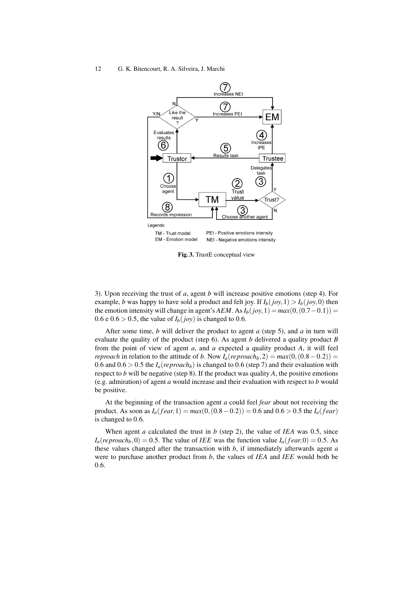

Fig. 3. TrustE conceptual view

3). Upon receiving the trust of *a*, agent *b* will increase positive emotions (step 4). For example, *b* was happy to have sold a product and felt joy. If  $I_b(jov,1) > I_b(jov,0)$  then the emotion intensity will change in agent's *AEM*. As  $I_b(jov,1) = max(0,(0.7-0.1)) =$ 0.6 e 0.6 > 0.5, the value of  $I_b(joy)$  is changed to 0.6.

After some time, *b* will deliver the product to agent *a* (step 5), and *a* in turn will evaluate the quality of the product (step 6). As agent *b* delivered a quality product *B* from the point of view of agent *a*, and *a* expected a quality product *A*, it will feel *reproach* in relation to the attitude of *b*. Now  $I_a(reproach_b, 2) = max(0, (0.8 – 0.2))$ 0.6 and  $0.6 > 0.5$  the  $I_a(reproach_b)$  is changed to 0.6 (step 7) and their evaluation with respect to *b* will be negative (step 8). If the product was quality *A*, the positive emotions (e.g. admiration) of agent *a* would increase and their evaluation with respect to *b* would be positive.

At the beginning of the transaction agent *a* could feel *fear* about not receiving the product. As soon as  $I_a(fear,1) = max(0, (0.8-0.2)) = 0.6$  and  $0.6 > 0.5$  the  $I_a(fear)$ is changed to 0.6.

When agent *a* calculated the trust in *b* (step 2), the value of *IEA* was 0.5, since  $I_a(reproach_b, 0) = 0.5$ . The value of *IEE* was the function value  $I_a(rear,0) = 0.5$ . As these values changed after the transaction with *b*, if immediately afterwards agent *a* were to purchase another product from *b*, the values of *IEA* and *IEE* would both be 0.6.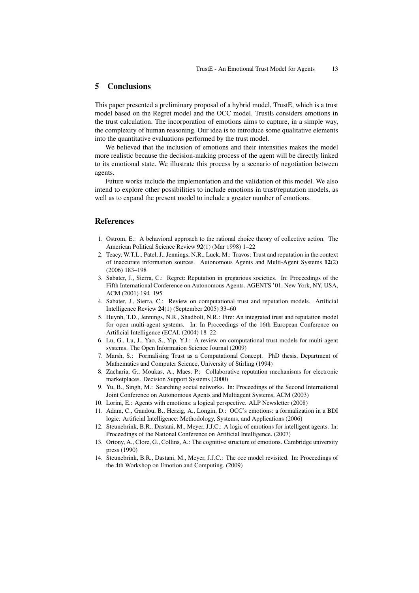## 5 Conclusions

This paper presented a preliminary proposal of a hybrid model, TrustE, which is a trust model based on the Regret model and the OCC model. TrustE considers emotions in the trust calculation. The incorporation of emotions aims to capture, in a simple way, the complexity of human reasoning. Our idea is to introduce some qualitative elements into the quantitative evaluations performed by the trust model.

We believed that the inclusion of emotions and their intensities makes the model more realistic because the decision-making process of the agent will be directly linked to its emotional state. We illustrate this process by a scenario of negotiation between agents.

Future works include the implementation and the validation of this model. We also intend to explore other possibilities to include emotions in trust/reputation models, as well as to expand the present model to include a greater number of emotions.

## References

- 1. Ostrom, E.: A behavioral approach to the rational choice theory of collective action. The American Political Science Review 92(1) (Mar 1998) 1–22
- 2. Teacy, W.T.L., Patel, J., Jennings, N.R., Luck, M.: Travos: Trust and reputation in the context of inaccurate information sources. Autonomous Agents and Multi-Agent Systems 12(2) (2006) 183–198
- 3. Sabater, J., Sierra, C.: Regret: Reputation in gregarious societies. In: Proceedings of the Fifth International Conference on Autonomous Agents. AGENTS '01, New York, NY, USA, ACM (2001) 194–195
- 4. Sabater, J., Sierra, C.: Review on computational trust and reputation models. Artificial Intelligence Review 24(1) (September 2005) 33–60
- 5. Huynh, T.D., Jennings, N.R., Shadbolt, N.R.: Fire: An integrated trust and reputation model for open multi-agent systems. In: In Proceedings of the 16th European Conference on Artificial Intelligence (ECAI. (2004) 18–22
- 6. Lu, G., Lu, J., Yao, S., Yip, Y.J.: A review on computational trust models for multi-agent systems. The Open Information Science Journal (2009)
- 7. Marsh, S.: Formalising Trust as a Computational Concept. PhD thesis, Department of Mathematics and Computer Science, University of Stirling (1994)
- 8. Zacharia, G., Moukas, A., Maes, P.: Collaborative reputation mechanisms for electronic marketplaces. Decision Support Systems (2000)
- 9. Yu, B., Singh, M.: Searching social networks. In: Proceedings of the Second International Joint Conference on Autonomous Agents and Multiagent Systems, ACM (2003)
- 10. Lorini, E.: Agents with emotions: a logical perspective. ALP Newsletter (2008)
- 11. Adam, C., Gaudou, B., Herzig, A., Longin, D.: OCC's emotions: a formalization in a BDI logic. Artificial Intelligence: Methodology, Systems, and Applications (2006)
- 12. Steunebrink, B.R., Dastani, M., Meyer, J.J.C.: A logic of emotions for intelligent agents. In: Proceedings of the National Conference on Artificial Intelligence. (2007)
- 13. Ortony, A., Clore, G., Collins, A.: The cognitive structure of emotions. Cambridge university press (1990)
- 14. Steunebrink, B.R., Dastani, M., Meyer, J.J.C.: The occ model revisited. In: Proceedings of the 4th Workshop on Emotion and Computing. (2009)